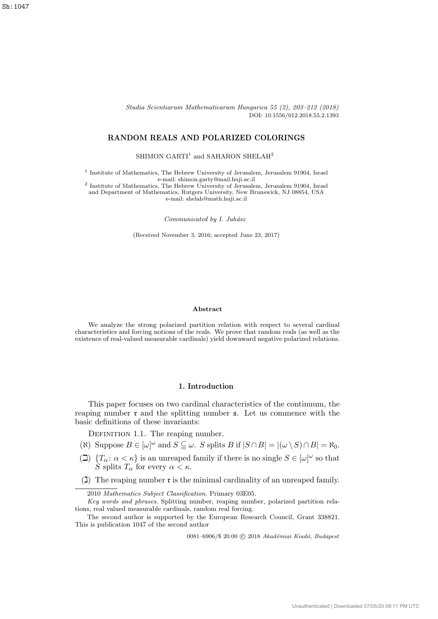Studia Scientiarum Mathematicarum Hungarica 55 (2), 203–212 (2018) DOI: 10.1556/012.2018.55.2.1393

# RANDOM REALS AND POLARIZED COLORINGS

SHIMON GARTI<sup>1</sup> and SAHARON SHELAH<sup>2</sup>

<sup>1</sup> Institute of Mathematics, The Hebrew University of Jerusalem, Jerusalem 91904, Israel e-mail: shimon.garty@mail.huji.ac.il

2 Institute of Mathematics, The Hebrew University of Jerusalem, Jerusalem 91904, Israel and Department of Mathematics, Rutgers University, New Brunswick, NJ 08854, USA e-mail: shelah@math.huji.ac.il

Communicated by I. Juhász

(Received November 3, 2016; accepted June 23, 2017)

### Abstract

We analyze the strong polarized partition relation with respect to several cardinal characteristics and forcing notions of the reals. We prove that random reals (as well as the existence of real-valued measurable cardinals) yield downward negative polarized relations.

# 1. Introduction

This paper focuses on two cardinal characteristics of the continuum, the reaping number  $\mathfrak r$  and the splitting number  $\mathfrak s$ . Let us commence with the basic definitions of these invariants:

DEFINITION 1.1. The reaping number.

- ( $\aleph$ ) Suppose  $B \in [\omega]^\omega$  and  $S \subseteq \omega$ . S splits B if  $|S \cap B| = |(\omega \setminus S) \cap B| = \aleph_0$ .
- ( $\Box$ )  $\{T_\alpha : \alpha < \kappa\}$  is an unreaped family if there is no single  $S \in [\omega]^\omega$  so that S splits  $T_{\alpha}$  for every  $\alpha < \kappa$ .
- ( $\Box$ ) The reaping number **r** is the minimal cardinality of an unreaped family.

0081-6906/\$ 20.00 © 2018 Akadémiai Kiadó, Budapest

<sup>2010</sup> Mathematics Subject Classification. Primary 03E05.

Key words and phrases. Splitting number, reaping number, polarized partition relations, real valued measurable cardinals, random real forcing.

The second author is supported by the European Research Council, Grant 338821. This is publication 1047 of the second author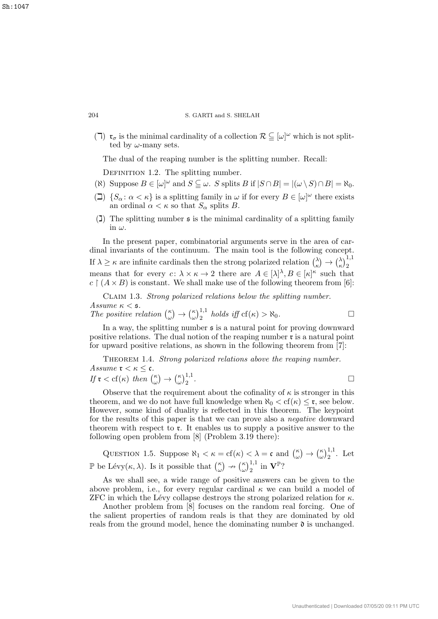( $\Box$ )  $\mathfrak{r}_{\sigma}$  is the minimal cardinality of a collection  $\mathcal{R} \subseteq [\omega]^{\omega}$  which is not splitted by  $\omega$ -many sets.

The dual of the reaping number is the splitting number. Recall:

DEFINITION 1.2. The splitting number.

- ( $\aleph$ ) Suppose  $B \in [\omega]^\omega$  and  $S \subseteq \omega$ . S splits B if  $|S \cap B| = |(\omega \setminus S) \cap B| = \aleph_0$ .
- ( $\Box$ )  $\{S_\alpha : \alpha < \kappa\}$  is a splitting family in  $\omega$  if for every  $B \in [\omega]^\omega$  there exists an ordinal  $\alpha < \kappa$  so that  $S_{\alpha}$  splits B.
- $(1)$  The splitting number s is the minimal cardinality of a splitting family in  $\omega$ .

In the present paper, combinatorial arguments serve in the area of cardinal invariants of the continuum. The main tool is the following concept. If  $\lambda \geq \kappa$  are infinite cardinals then the strong polarized relation  $\lambda$  $\binom{\lambda}{\kappa} \rightarrow \binom{\lambda}{\kappa}$  $\binom{\lambda}{\kappa}$ <sub>2</sub> means that for every  $c: \lambda \times \kappa \to 2$  there are  $A \in [\lambda]^{\lambda}, B \in [\kappa]^{\kappa}$  such that  $c \upharpoonright (A \times B)$  is constant. We shall make use of the following theorem from [6]:

Claim 1.3. Strong polarized relations below the splitting number. Assume  $\kappa <$  5. The positive relation  $\binom{\kappa}{\omega}$  $\binom{\kappa}{\omega} \rightarrow \binom{\kappa}{\omega}$  $\int_{\omega}^{\kappa}$ <sub>2</sub><sup>1,1</sup> *holds iff* cf( $\kappa$ ) >  $\aleph_0$ .

In a way, the splitting number  $\epsilon$  is a natural point for proving downward positive relations. The dual notion of the reaping number  $\mathfrak r$  is a natural point for upward positive relations, as shown in the following theorem from [7]:

THEOREM 1.4. Strong polarized relations above the reaping number. Assume  $\mathfrak{r} < \kappa \leq \mathfrak{c}$ . If  $\mathfrak{r} < \text{cf}(\kappa)$  then  $\binom{\kappa}{\omega}$  $\binom{\kappa}{\omega} \rightarrow \binom{\kappa}{\omega}$  $\left(\frac{\kappa}{\omega}\right)^{1,1}_2$ .

Observe that the requirement about the cofinality of  $\kappa$  is stronger in this theorem, and we do not have full knowledge when  $\aleph_0 < \text{cf}(\kappa) \leq \mathfrak{r}$ , see below. However, some kind of duality is reflected in this theorem. The keypoint for the results of this paper is that we can prove also a negative downward theorem with respect to r. It enables us to supply a positive answer to the following open problem from [8] (Problem 3.19 there):

QUESTION 1.5. Suppose  $\aleph_1 < \kappa = \text{cf}(\kappa) < \lambda = \mathfrak{c}$  and  $\binom{\kappa}{\omega}$  $\binom{\kappa}{\omega} \rightarrow \binom{\kappa}{\omega}$  $(\frac{\kappa}{\omega})_2^{1,1}$ . Let  $\mathbb P$  be Lévy $(\kappa, \lambda)$ . Is it possible that  $\binom{\kappa}{\omega}$  $\binom{\kappa}{\omega} \nrightarrow \binom{\kappa}{\omega}$  $\left(\begin{smallmatrix} \kappa \ \omega \end{smallmatrix}\right)^{1,1}_2$  in  $\mathbf{V}^{\mathbb{P}}?$ 

As we shall see, a wide range of positive answers can be given to the above problem, i.e., for every regular cardinal  $\kappa$  we can build a model of ZFC in which the Lévy collapse destroys the strong polarized relation for  $\kappa$ .

Another problem from [8] focuses on the random real forcing. One of the salient properties of random reals is that they are dominated by old reals from the ground model, hence the dominating number  $\mathfrak d$  is unchanged.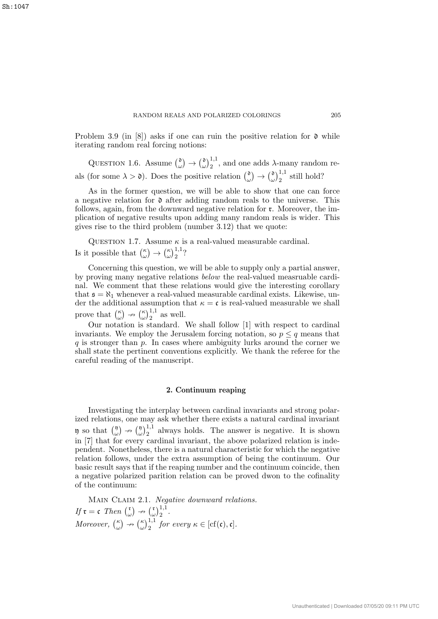Problem 3.9 (in [8]) asks if one can ruin the positive relation for  $\mathfrak d$  while iterating random real forcing notions:

QUESTION 1.6. Assume  $\binom{0}{w}$  $\begin{smallmatrix} \mathfrak{d} \ \omega \end{smallmatrix} \rightarrow \begin{smallmatrix} \mathfrak{d} \ \omega \end{smallmatrix}$  $\omega^{0,1,1}_{\omega}$ , and one adds  $\lambda$ -many random reals (for some  $\lambda > \mathfrak{d}$ ). Does the positive relation  $\binom{\mathfrak{d}}{\mathfrak{d}}$  $\begin{array}{c} \mathfrak{d} \\ \omega \end{array} \rightarrow \begin{pmatrix} \mathfrak{d} \\ \omega \end{pmatrix}$  $\left(\omega\right)^{1,1}_2$  still hold?

As in the former question, we will be able to show that one can force a negative relation for  $\mathfrak d$  after adding random reals to the universe. This follows, again, from the downward negative relation for r. Moreover, the implication of negative results upon adding many random reals is wider. This gives rise to the third problem (number 3.12) that we quote:

QUESTION 1.7. Assume  $\kappa$  is a real-valued measurable cardinal. Is it possible that  $\binom{\kappa}{\omega}$  $\binom{\kappa}{\omega} \rightarrow \binom{\kappa}{\omega}$  $(\omega)\frac{1}{2}$ ?

Concerning this question, we will be able to supply only a partial answer, by proving many negative relations below the real-valued measruable cardinal. We comment that these relations would give the interesting corollary that  $\mathfrak{s} = \aleph_1$  whenever a real-valued measurable cardinal exists. Likewise, under the additional assumption that  $\kappa = \mathfrak{c}$  is real-valued measurable we shall prove that  $\binom{\kappa}{\omega}$  $\binom{\kappa}{\omega} \nrightarrow \binom{\kappa}{\omega}$  $\binom{\kappa}{\omega}$ <sub>2</sub><sup>1,1</sup> as well.

Our notation is standard. We shall follow [1] with respect to cardinal invariants. We employ the Jerusalem forcing notation, so  $p \leq q$  means that  $q$  is stronger than  $p$ . In cases where ambiguity lurks around the corner we shall state the pertinent conventions explicitly. We thank the referee for the careful reading of the manuscript.

# 2. Continuum reaping

Investigating the interplay between cardinal invariants and strong polarized relations, one may ask whether there exists a natural cardinal invariant  $\mathfrak y$  so that  $\binom{\mathfrak y}{\omega}$  $\begin{pmatrix} 0 \\ \omega \end{pmatrix} \rightarrow \begin{pmatrix} 0 \\ \omega \end{pmatrix}$  $\omega^{(1)}_{2}$ <sup>1,1</sup> always holds. The answer is negative. It is shown in [7] that for every cardinal invariant, the above polarized relation is independent. Nonetheless, there is a natural characteristic for which the negative relation follows, under the extra assumption of being the continuum. Our basic result says that if the reaping number and the continuum coincide, then a negative polarized parition relation can be proved dwon to the cofinality of the continuum:

MAIN CLAIM 2.1. Negative downward relations. If  $\mathfrak{r} = \mathfrak{c}$  Then  $\int_{a}^{\mathfrak{r}}$  $\begin{pmatrix} \mathfrak{r} \\ \omega \end{pmatrix} \nrightarrow \begin{pmatrix} \mathfrak{r} \\ \omega \end{pmatrix}$  $\left(\begin{smallmatrix} \mathfrak{r} \\ \omega \end{smallmatrix}\right)\n \left.\begin{smallmatrix} 1,1 \ 2 \end{smallmatrix}\right.$ Moreover,  $\binom{\kappa}{\omega}$  $\binom{\kappa}{\omega} \nrightarrow \binom{\kappa}{\omega}$  $\int_{\omega}^{\kappa}$   $\int_{2}^{1,1}$  for every  $\kappa \in [\text{cf}(\mathfrak{c}), \mathfrak{c}].$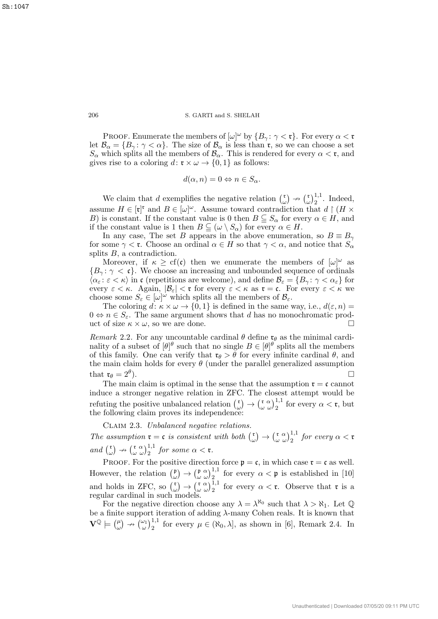PROOF. Enumerate the members of  $[\omega]^\omega$  by  $\{B_\gamma : \gamma < \mathfrak{r}\}\$ . For every  $\alpha < \mathfrak{r}$ let  $\mathcal{B}_{\alpha} = \{B_{\gamma} : \gamma < \alpha\}$ . The size of  $\mathcal{B}_{\alpha}$  is less than **r**, so we can choose a set  $S_{\alpha}$  which splits all the members of  $\mathcal{B}_{\alpha}$ . This is rendered for every  $\alpha < \mathfrak{r}$ , and gives rise to a coloring  $d: \mathfrak{r} \times \omega \to \{0,1\}$  as follows:

$$
d(\alpha, n) = 0 \Leftrightarrow n \in S_{\alpha}.
$$

We claim that d exemplifies the negative relation  $\binom{r}{r}$  $\begin{pmatrix} \mathfrak{r} \\ \omega \end{pmatrix} \nrightarrow \begin{pmatrix} \mathfrak{r} \\ \omega \end{pmatrix}$  $\big(\begin{matrix} \mathfrak{r} \\ \omega \end{matrix}\big)^{1,1}$ . Indeed, assume  $H \in [\mathfrak{r}]^{\mathfrak{r}}$  and  $B \in [\omega]^{\omega}$ . Assume toward contradiction that  $d \restriction (H \times$ B) is constant. If the constant value is 0 then  $B \subseteq S_\alpha$  for every  $\alpha \in H$ , and if the constant value is 1 then  $B \subseteq (\omega \setminus S_\alpha)$  for every  $\alpha \in H$ .

In any case, The set B appears in the above enumeration, so  $B \equiv B_{\gamma}$ for some  $\gamma < r$ . Choose an ordinal  $\alpha \in H$  so that  $\gamma < \alpha$ , and notice that  $S_{\alpha}$ splits  $B$ , a contradiction.

Moreover, if  $\kappa \geq cf(c)$  then we enumerate the members of  $[\omega]^\omega$  as  ${B_\gamma:\gamma<\mathfrak{c}}$ . We choose an increasing and unbounded sequence of ordinals  $\langle \alpha_{\varepsilon} : \varepsilon \langle \kappa \rangle$  in c (repetitions are welcome), and define  $\mathcal{B}_{\varepsilon} = \{B_{\gamma} : \gamma \langle \alpha_{\varepsilon} \}$  for every  $\varepsilon < \kappa$ . Again,  $|\mathcal{B}_{\varepsilon}| < \tau$  for every  $\varepsilon < \kappa$  as  $\tau = \mathfrak{c}$ . For every  $\varepsilon < \kappa$  we choose some  $S_{\varepsilon} \in [\omega]^{\omega}$  which splits all the members of  $\mathcal{B}_{\varepsilon}$ .

The coloring  $d: \kappa \times \omega \to \{0,1\}$  is defined in the same way, i.e.,  $d(\varepsilon, n) =$  $0 \Leftrightarrow n \in S_{\varepsilon}$ . The same argument shows that d has no monochromatic product of size  $\kappa \times \omega$ , so we are done.

Remark 2.2. For any uncountable cardinal  $\theta$  define  $\mathfrak{r}_{\theta}$  as the minimal cardinality of a subset of  $[\theta]^\theta$  such that no single  $B \in [\theta]^\theta$  splits all the members of this family. One can verify that  $\mathfrak{r}_{\theta} > \theta$  for every infinite cardinal  $\theta$ , and the main claim holds for every  $\theta$  (under the parallel generalized assumption that  $\mathfrak{r}_{\theta} = 2^{\theta}$ ).  $\Box$ 

The main claim is optimal in the sense that the assumption  $\mathfrak{r} = \mathfrak{c}$  cannot induce a stronger negative relation in ZFC. The closest attempt would be refuting the positive unbalanced relation  $\binom{r}{r}$  $\binom{\mathfrak{r}}{\omega} \rightarrow \binom{\mathfrak{r}}{\omega} \binom{1}{2}^{1,1}$  for every  $\alpha < \mathfrak{r}$ , but the following claim proves its independence

Claim 2.3. Unbalanced negative relations. The assumption  $\mathfrak{r} = \mathfrak{c}$  is consistent with both  $\binom{\mathfrak{r}}{k}$  $\binom{\mathfrak{r}}{\omega} \rightarrow \binom{\mathfrak{r}}{\omega} \binom{1,1}{2}$  for every  $\alpha < \mathfrak{r}$ and  $\binom{r}{r}$  $\binom{\mathfrak{r}}{\omega} \nrightarrow \binom{\mathfrak{r}}{\omega} \binom{1,1}{2}$  for some  $\alpha < \mathfrak{r}$ .

PROOF. For the positive direction force  $\mathfrak{p} = \mathfrak{c}$ , in which case  $\mathfrak{r} = \mathfrak{c}$  as well. However, the relation  $\binom{p}{q}$  $(\begin{smallmatrix} \mathfrak{p} \\ \omega \end{smallmatrix}) \rightarrow (\begin{smallmatrix} \mathfrak{p} & \alpha \\ \omega \end{smallmatrix})^{1,1}_2$  for every  $\alpha < \mathfrak{p}$  is established in [10] and holds in ZFC, so  $\binom{r}{r}$  $\begin{pmatrix} \mathfrak{r} \\ \omega \end{pmatrix} \rightarrow \begin{pmatrix} \mathfrak{r} & \alpha \\ \omega & \omega \end{pmatrix} \begin{pmatrix} 1,1 \\ 2 \end{pmatrix}$  for every  $\alpha < \mathfrak{r}$ . Observe that  $\mathfrak{r}$  is a regular cardinal in such models.

For the negative direction choose any  $\lambda = \lambda^{\aleph_0}$  such that  $\lambda > \aleph_1$ . Let Q be a finite support iteration of adding  $\lambda$ -many Cohen reals. It is known that  $\mathbf{V}^{\mathbb{Q}} \models \left( \begin{smallmatrix} \mu \\ \omega \end{smallmatrix} \right)$  $(\omega)$   $\rightarrow$   $(\omega)$ <sub>2</sub><sup>1</sup>,<sup>1</sup> for every  $\mu \in (\aleph_0, \lambda]$ , as shown in [6], Remark 2.4. In

Sh:1047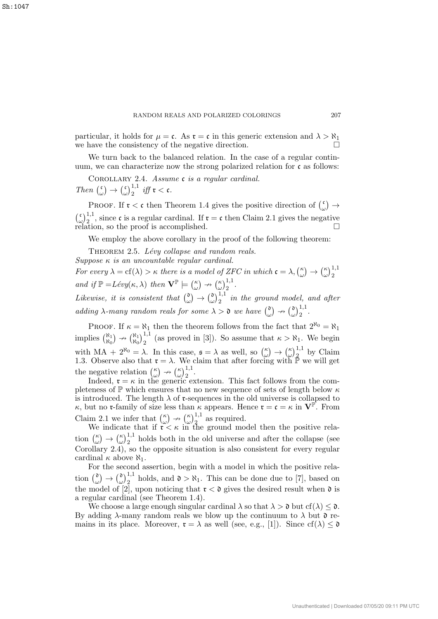particular, it holds for  $\mu = \mathfrak{c}$ . As  $\mathfrak{r} = \mathfrak{c}$  in this generic extension and  $\lambda > \aleph_1$ we have the consistency of the negative direction.

We turn back to the balanced relation. In the case of a regular continuum, we can characterize now the strong polarized relation for c as follows:

COROLLARY 2.4. Assume c is a regular cardinal. Then  $\binom{c}{c}$  $\begin{array}{c} \begin{array}{c} \n\zeta \\ \n\omega \n\end{array} \n\end{array}$  $\int_{\omega}^{\mathfrak{c}}\lambda_{2}^{1,1}$  iff  $\mathfrak{r}<\mathfrak{c}$ .

PROOF. If  $\mathfrak{r} < \mathfrak{c}$  then Theorem 1.4 gives the positive direction of  $\int_{a}^{\mathfrak{c}}$  $\binom{\mathfrak{c}}{\omega} \rightarrow$  $\int_{0}^{c}$  $\omega^{1,1}_{2}$ , since c is a regular cardinal. If  $\mathfrak{r} = \mathfrak{c}$  then Claim 2.1 gives the negative relation, so the proof is accomplished.

We employ the above corollary in the proof of the following theorem:

THEOREM 2.5. Lévy collapse and random reals. Suppose  $\kappa$  is an uncountable regular cardinal.

For every  $\lambda = cf(\lambda) > \kappa$  there is a model of ZFC in which  $\mathfrak{c} = \lambda, \kappa$  $\binom{\kappa}{\omega} \rightarrow \binom{\kappa}{\omega}$  $\left(\frac{\kappa}{\omega}\right)^{1,1}_2$ and if  $\mathbb{P} = Lévy(\kappa, \lambda)$  then  $\mathbf{V}^{\mathbb{P}} \models \begin{pmatrix} \kappa \\ \kappa \end{pmatrix}$  $\binom{\kappa}{\omega} \nrightarrow \binom{\kappa}{\omega}$  $\left(\frac{\kappa}{\omega}\right)^{1,1}_2$ . Likewise, it is consistent that  $\binom{0}{k}$  $\begin{array}{c} \mathfrak{d} \\ \omega \end{array} \rightarrow \begin{pmatrix} \mathfrak{d} \\ \omega \end{pmatrix}$  $\int_{\omega}^{0}$  $\int_{2}^{1,1}$  in the ground model, and after adding  $\lambda$ -many random reals for some  $\lambda > 0$  we have  $\binom{0}{k}$  $\begin{pmatrix} \mathfrak{d} \\ \omega \end{pmatrix} \nrightarrow \begin{pmatrix} \mathfrak{d} \\ \omega \end{pmatrix}$  $\left(\omega\right)^{1,1}_{2}.$ 

PROOF. If  $\kappa = \aleph_1$  then the theorem follows from the fact that  $2^{\aleph_0} = \aleph_1$ implies  $\binom{\aleph_1}{\aleph_2}$  $\begin{pmatrix} \aleph_1 \\ \aleph_0 \end{pmatrix} \nrightarrow \begin{pmatrix} \aleph_1 \\ \aleph_0 \end{pmatrix}$  $\frac{\aleph_1}{\aleph_0}$ ,  $\frac{1}{2}$  (as proved in [3]). So assume that  $\kappa > \aleph_1$ . We begin with  $MA + 2^{\aleph_0} = \lambda$ . In this case,  $\mathfrak{s} = \lambda$  as well, so  $\binom{\kappa}{\omega}$  $\binom{\kappa}{\omega} \rightarrow \binom{\kappa}{\omega}$  $\left(\frac{\kappa}{\omega}\right)_{2}^{1,1}$  by Claim 1.3. Observe also that  $\mathfrak{r} = \lambda$ . We claim that after forcing with  $\mathbb{P}$  we will get the negative relation  $\binom{\kappa}{\omega}$  $\binom{\kappa}{\omega} \nrightarrow \binom{\kappa}{\omega}$  $\int_{\omega/2}^{\kappa/1,1}$ .

Indeed,  $\mathfrak{r} = \kappa$  in the generic extension. This fact follows from the completeness of  $\mathbb P$  which ensures that no new sequence of sets of length below  $\kappa$ is introduced. The length  $\lambda$  of **r**-sequences in the old universe is collapsed to  $\kappa$ , but no **r**-family of size less than  $\kappa$  appears. Hence  $\mathbf{r} = \mathbf{c} = \kappa$  in  $\mathbf{V}^{\mathbb{P}}$ . From Claim 2.1 we infer that  $\binom{\kappa}{\omega}$  $\binom{\kappa}{\omega} \nrightarrow \binom{\kappa}{\omega}$  $\left(\begin{smallmatrix} \kappa \\ \omega \end{smallmatrix}\right)_{2}^{1,1}$  as required.

We indicate that if  $\mathfrak{r} < \kappa$  in the ground model then the positive relation  $\binom{\kappa}{\omega}$  $\binom{\kappa}{\omega} \rightarrow \binom{\kappa}{\omega}$  $\omega_{\omega}^{(1)}$ )<sup>1,1</sup> holds both in the old universe and after the collapse (see Corollary 2.4), so the opposite situation is also consistent for every regular cardinal  $\kappa$  above  $\aleph_1$ .

For the second assertion, begin with a model in which the positive relation  $\binom{0}{a}$  $\begin{array}{c} \mathfrak{d} \\ \omega \end{array} \rightarrow \begin{pmatrix} \mathfrak{d} \\ \omega \end{pmatrix}$  $\omega_{\omega}^{0}$ ,<sup>1,1</sup> holds, and  $0 > \aleph_1$ . This can be done due to [7], based on the model of [2], upon noticing that  $\mathfrak{r} < \mathfrak{d}$  gives the desired result when  $\mathfrak{d}$  is a regular cardinal (see Theorem 1.4).

We choose a large enough singular cardinal  $\lambda$  so that  $\lambda > 0$  but cf( $\lambda$ )  $\leq 0$ . By adding  $\lambda$ -many random reals we blow up the continuum to  $\lambda$  but  $\mathfrak d$  remains in its place. Moreover,  $\mathfrak{r} = \lambda$  as well (see, e.g., [1]). Since  $cf(\lambda) \leq \mathfrak{d}$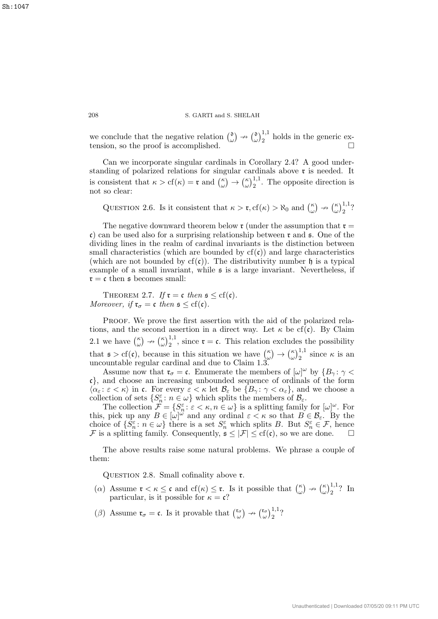we conclude that the negative relation  $\binom{0}{k}$  $\begin{pmatrix} 0 \\ \omega \end{pmatrix} \nrightarrow \begin{pmatrix} 0 \\ \omega \end{pmatrix}$  $\left(\frac{\delta}{\omega}\right)_2^{1,1}$  holds in the generic extension, so the proof is accomplished.  $\Box$ 

Can we incorporate singular cardinals in Corollary 2.4? A good understanding of polarized relations for singular cardinals above r is needed. It is consistent that  $\kappa > cf(\kappa) = \mathfrak{r}$  and  $\binom{\kappa}{\kappa}$  $\binom{\kappa}{\omega} \rightarrow \binom{\kappa}{\omega}$  $\left(\begin{array}{c} \kappa \\ \omega \end{array}\right)$ <sup>1,1</sup>. The opposite direction is not so clear:

QUESTION 2.6. Is it consistent that  $\kappa > \mathfrak{r}$ ,  $cf(\kappa) > \aleph_0$  and  $\binom{\kappa}{\omega}$  $\binom{\kappa}{\omega} \nrightarrow \binom{\kappa}{\omega}$  $\binom{\kappa}{\omega}$ <sub>2</sub><sup>1,1</sup>?

The negative downward theorem below  $\mathfrak{r}$  (under the assumption that  $\mathfrak{r} =$ c) can be used also for a surprising relationship between  $\mathfrak{r}$  and  $\mathfrak{s}$ . One of the dividing lines in the realm of cardinal invariants is the distinction between small characteristics (which are bounded by  $cf(c)$ ) and large characteristics (which are not bounded by  $cf(c)$ ). The distributivity number  $\mathfrak h$  is a typical example of a small invariant, while s is a large invariant. Nevertheless, if  $\mathfrak{r} = \mathfrak{c}$  then  $\mathfrak{s}$  becomes small:

THEOREM 2.7. If  $\mathfrak{r} = \mathfrak{c}$  then  $\mathfrak{s} \leq \text{cf}(\mathfrak{c})$ . Moreover, if  $\mathfrak{r}_{\sigma} = \mathfrak{c}$  then  $\mathfrak{s} \leq \text{cf}(\mathfrak{c})$ .

PROOF. We prove the first assertion with the aid of the polarized relations, and the second assertion in a direct way. Let  $\kappa$  be cf(c). By Claim 2.1 we have  $\binom{\kappa}{\omega}$  $\binom{\kappa}{\omega} \nrightarrow \binom{\kappa}{\omega}$  $\omega^{1,1}_{\omega}$ , since  $\mathfrak{r} = \mathfrak{c}$ . This relation excludes the possibility that  $\mathfrak{s} > cf(\mathfrak{c})$ , because in this situation we have  $\binom{\kappa}{\omega}$  $\binom{\kappa}{\omega} \rightarrow \binom{\kappa}{\omega}$  $\left(\begin{smallmatrix} \kappa \\ \omega \end{smallmatrix}\right)_{2}^{1,1}$  since  $\kappa$  is an uncountable regular cardinal and due to Claim 1.3.

Assume now that  $\mathfrak{r}_{\sigma} = \mathfrak{c}$ . Enumerate the members of  $[\omega]^{\omega}$  by  $\{B_{\gamma} : \gamma < \mathfrak{c}\}$ c}, and choose an increasing unbounded sequence of ordinals of the form  $\langle \alpha_{\varepsilon} : \varepsilon < \kappa \rangle$  in c. For every  $\varepsilon < \kappa$  let  $\mathcal{B}_{\varepsilon}$  be  $\{B_{\gamma} : \gamma < \alpha_{\varepsilon}\}\)$ , and we choose a collection of sets  $\{S_n^{\varepsilon} : n \in \omega\}$  which splits the members of  $\mathcal{B}_{\varepsilon}$ .

The collection  $\mathcal{F} = \{S_n^{\varepsilon} : \varepsilon < \kappa, n \in \omega\}$  is a splitting family for  $[\omega]^{\omega}$ . For this, pick up any  $B \in [\omega]^{\omega}$  and any ordinal  $\varepsilon < \kappa$  so that  $B \in \mathcal{B}_{\varepsilon}$ . By the choice of  $\{\tilde{S}_n^{\varepsilon} : n \in \omega\}$  there is a set  $S_n^{\varepsilon}$  which splits B. But  $S_n^{\varepsilon} \in \mathcal{F}$ , hence F is a splitting family. Consequently,  $\mathfrak{s} \leq |\mathcal{F}| \leq \mathrm{cf}(\mathfrak{c})$ , so we are done.

The above results raise some natural problems. We phrase a couple of them:

QUESTION 2.8. Small cofinality above  $\mathfrak{r}$ .

- (a) Assume  $\mathfrak{r} < \kappa \leq \mathfrak{c}$  and  $cf(\kappa) \leq \mathfrak{r}$ . Is it possible that  $\binom{\kappa}{\kappa}$  $\binom{\kappa}{\omega} \nrightarrow \binom{\kappa}{\omega}$  $(\frac{\kappa}{\omega})_2^{1,1}$ ? In particular, is it possible for  $\kappa = \mathfrak{c}$ ?
- (β) Assume  $\mathfrak{r}_{\sigma} = \mathfrak{c}$ . Is it provable that  $\binom{\mathfrak{r}_{\sigma}}{\omega}$  $\begin{pmatrix} \mathfrak{r}_{\sigma} \\ \omega \end{pmatrix} \rightarrow \begin{pmatrix} \mathfrak{r}_{\sigma} \\ \omega \end{pmatrix}$  $\left(\begin{smallmatrix} \mathfrak{c}_{\sigma} \\ \omega \end{smallmatrix}\right) \left[\begin{smallmatrix} 1,1 \\ 2 \end{smallmatrix}\right]$ ?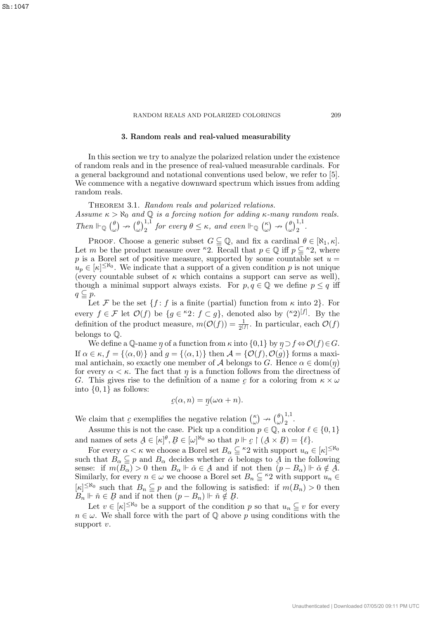#### RANDOM REALS AND POLARIZED COLORINGS 209

## 3. Random reals and real-valued measurability

In this section we try to analyze the polarized relation under the existence of random reals and in the presence of real-valued measurable cardinals. For a general background and notational conventions used below, we refer to [5]. We commence with a negative downward spectrum which issues from adding random reals.

THEOREM 3.1. Random reals and polarized relations. Assume  $\kappa > \aleph_0$  and  $\mathbb Q$  is a forcing notion for adding  $\kappa$ -many random reals. Then  $\mathbb{H}_{\mathbb{Q}}$   $\Big(\begin{matrix} \theta \\ \vdots \end{matrix}\Big)$  $\begin{pmatrix} \theta \\ \omega \end{pmatrix} \nrightarrow \begin{pmatrix} \theta \\ \omega \end{pmatrix}$  $\int_{\omega}^{\theta} \int_{2}^{1,1}$  for every  $\theta \leq \kappa$ , and even  $\mathbb{H}_{\mathbb{Q}}$   $\binom{\kappa}{\omega}$  $\binom{\kappa}{\omega} \nrightarrow \binom{\theta}{\omega}$  $\left(\begin{matrix} \theta \\ \omega \end{matrix}\right)^{1,1}_2$ .

PROOF. Choose a generic subset  $G \subseteq \mathbb{Q}$ , and fix a cardinal  $\theta \in [\aleph_1, \kappa]$ . Let m be the product measure over <sup> $k$ </sup>2. Recall that  $p \in \mathbb{Q}$  iff  $p \subseteq k$ 2, where p is a Borel set of positive measure, supported by some countable set  $u =$  $u_p \in [\kappa]^{\leq \aleph_0}$ . We indicate that a support of a given condition p is not unique (every countable subset of  $\kappa$  which contains a support can serve as well), though a minimal support always exists. For  $p, q \in \mathbb{Q}$  we define  $p \leq q$  iff  $q \subseteq p$ .

Let F be the set  $\{f : f$  is a finite (partial) function from  $\kappa$  into 2. For every  $f \in \mathcal{F}$  let  $\mathcal{O}(f)$  be  $\{g \in {}^{\kappa}2 \colon f \subset g\}$ , denoted also by  $({}^{\kappa}2)^{[f]}$ . By the definition of the product measure,  $m(\mathcal{O}(f)) = \frac{1}{2^{|f|}}$ . In particular, each  $\mathcal{O}(f)$ belongs to Q.

We define a Q-name  $\eta$  of a function from  $\kappa$  into  $\{0,1\}$  by  $\eta \supset f \Leftrightarrow \mathcal{O}(f) \in G$ . If  $\alpha \in \kappa$ ,  $f = {\alpha, 0}$  and  $g = {\alpha, 1}$  then  $\mathcal{A} = {\mathcal{O}(f), \mathcal{O}(g)}$  forms a maximal antichain, so exactly one member of A belongs to G. Hence  $\alpha \in \text{dom}(\eta)$ for every  $\alpha < \kappa$ . The fact that  $\eta$  is a function follows from the directness of G. This gives rise to the definition of a name  $\mathfrak c$  $\tilde{a}$ for a coloring from  $\kappa \times \omega$ into  $\{0, 1\}$  as follows:

$$
c(\alpha, n) = \eta(\omega \alpha + n).
$$

We claim that  $c$ exemplifies the negative relation  $\binom{\kappa}{\omega}$  $\begin{pmatrix} \kappa \\ \omega \end{pmatrix} \nrightarrow \begin{pmatrix} \theta \\ \omega \end{pmatrix}$  $\frac{\theta}{\omega}\Big)_{2}^{1,1}.$ 

˜ Assume this is not the case. Pick up a condition  $p \in \mathbb{Q}$ , a color  $\ell \in \{0, 1\}$ and names of sets  $A \in [\kappa]^{\theta}, B \in [\omega]^{\aleph_0}$  so that  $p \Vdash \mathcal{L} \restriction (A \times B) = \{\ell\}.$ 

For every  $\alpha < \kappa$  we choose a Borel set  $B_{\alpha} \subseteq {}^{\kappa_2}$  with support  $u_{\alpha} \in [\kappa]^{ \leq \aleph_0}$ such that  $B_{\alpha} \subseteqq p$  and  $B_{\alpha}$  decides whether  $\alpha$  belongs to  $\widetilde{A}$  in the following sense: if  $m(B_{\alpha}) > 0$  then  $B_{\alpha} \Vdash \check{\alpha} \in \mathcal{A}$  and if not then  $(p - B_{\alpha}) \Vdash \check{\alpha} \notin \mathcal{A}$ . Similarly, for every  $n \in \omega$  we choose a Borel set  $B_n \subseteq \kappa_2$  with support  $u_n \in$  $[\kappa]^{\leq \aleph_0}$  such that  $B_n \subseteqq p$  and the following is satisfied: if  $m(B_n) > 0$  then  $B_n \Vdash \check{n} \in \mathcal{B}$  and if not then  $(p - B_n) \Vdash \check{n} \notin \mathcal{B}$ .

Let  $v \in [\kappa]^{\leq \aleph_0}$  be a support of the condition p so that  $u_n \subseteq v$  for every  $n \in \omega$ . We shall force with the part of Q above p using conditions with the support v.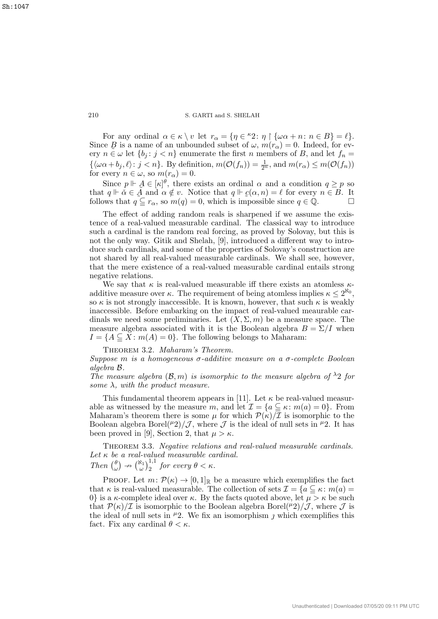For any ordinal  $\alpha \in \kappa \setminus v$  let  $r_{\alpha} = \{ \eta \in {}^{\kappa}2 \colon \eta \upharpoonright \{ \omega \alpha + n \colon n \in B \} = \ell \}.$ Since  $\mathcal{B}$  is a name of an unbounded subset of  $\omega$ ,  $m(r_{\alpha}) = 0$ . Indeed, for every  $n \in \omega$  let  $\{b_j : j < n\}$  enumerate the first n members of B, and let  $f_n =$  $\{\langle \omega \alpha + b_j, \ell \rangle : j < n\}.$  By definition,  $m(\mathcal{O}(f_n)) = \frac{1}{2^n}$ , and  $m(r_\alpha) \le m(\mathcal{O}(f_n))$ for every  $n \in \omega$ , so  $m(r_\alpha) = 0$ .

Since  $p \Vdash A \in [\kappa]^{\theta}$ , there exists an ordinal  $\alpha$  and a condition  $q \geq p$  so that  $q \Vdash \check{\alpha} \in \tilde{A}$  and  $\alpha \notin v$ . Notice that  $q \Vdash \mathcal{C}(\alpha, n) = \ell$  for every  $n \in B$ . It follows that  $q \subseteq r_\alpha$ , so  $m(q) = 0$ , which is impossible since  $q \in \mathbb{Q}$ .

The effect of adding random reals is sharpened if we assume the existence of a real-valued measurable cardinal. The classical way to introduce such a cardinal is the random real forcing, as proved by Solovay, but this is not the only way. Gitik and Shelah, [9], introduced a different way to introduce such cardinals, and some of the properties of Solovay's construction are not shared by all real-valued measurable cardinals. We shall see, however, that the mere existence of a real-valued measurable cardinal entails strong negative relations.

We say that  $\kappa$  is real-valued measurable iff there exists an atomless  $\kappa$ additive measure over  $\kappa$ . The requirement of being atomless implies  $\kappa \leq 2^{\aleph_0}$ , so  $\kappa$  is not strongly inaccessible. It is known, however, that such  $\kappa$  is weakly inaccessible. Before embarking on the impact of real-valued meaurable cardinals we need some preliminaries. Let  $(X, \Sigma, m)$  be a measure space. The measure algebra associated with it is the Boolean algebra  $B = \Sigma / I$  when  $I = \{A \subseteq X : m(A) = 0\}$ . The following belongs to Maharam:

THEOREM 3.2. Maharam's Theorem.

Suppose m is a homogeneous  $\sigma$ -additive measure on a  $\sigma$ -complete Boolean algebra B.

The measure algebra  $(\mathcal{B}, m)$  is isomorphic to the measure algebra of  $\lambda_2$  for some  $\lambda$ , with the product measure.

This fundamental theorem appears in [11]. Let  $\kappa$  be real-valued measurable as witnessed by the measure m, and let  $\mathcal{I} = \{a \subseteq \kappa : m(a) = 0\}$ . From Maharam's theorem there is some  $\mu$  for which  $\mathcal{P}(\kappa)/\overline{\mathcal{I}}$  is isomorphic to the Boolean algebra Borel( $\mu$ 2)/ $\mathcal{J}$ , where  $\mathcal{J}$  is the ideal of null sets in  $\mu$ 2. It has been proved in [9], Section 2, that  $\mu > \kappa$ .

THEOREM 3.3. Negative relations and real-valued measurable cardinals. Let  $\kappa$  be a real-valued measurable cardinal. Then  $\binom{\theta}{a}$  $\begin{pmatrix} \theta \\ \omega \end{pmatrix} \nrightarrow \begin{pmatrix} \aleph_1 \\ \omega \end{pmatrix} \nrightarrow{1,1}$  for every  $\theta < \kappa$ .

PROOF. Let  $m: \mathcal{P}(\kappa) \to [0,1]_{\mathbb{R}}$  be a measure which exemplifies the fact that  $\kappa$  is real-valued measurable. The collection of sets  $\mathcal{I} = \{a \subseteq \kappa : m(a) =$ 0} is a  $\kappa$ -complete ideal over  $\kappa$ . By the facts quoted above, let  $\mu > \kappa$  be such that  $\mathcal{P}(\kappa)/\mathcal{I}$  is isomorphic to the Boolean algebra Borel( $\mu$ 2)/ $\mathcal{J}$ , where  $\mathcal{J}$  is the ideal of null sets in  $\mu$ 2. We fix an isomorphism *j* which exemplifies this fact. Fix any cardinal  $\theta < \kappa$ .

Sh:1047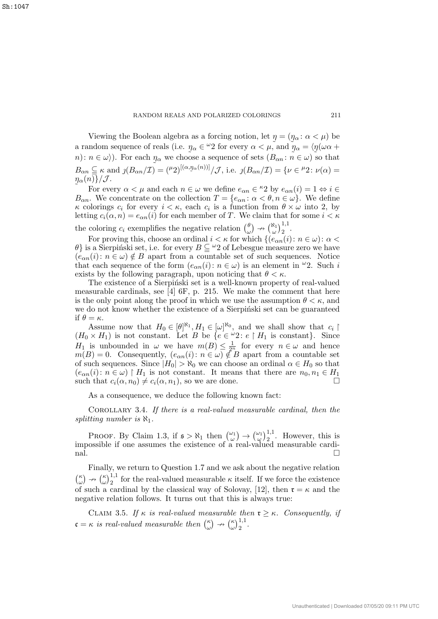Viewing the Boolean algebra as a forcing notion, let  $\eta = (\eta_{\alpha} : \alpha < \mu)$  be a random sequence of reals (i.e.  $\eta_{\alpha} \in {}^{\omega}2$  for every  $\alpha < \mu$ , and  $\eta_{\alpha} = \langle \eta(\omega \alpha + \alpha) \rangle$  $n: n \in \omega$ ). For each  $\eta_{\alpha}$  we choose a sequence of sets  $(B_{\alpha n}: n \in \omega)$  so that  $B_{\alpha n} \subseteqq \kappa$  and  $\mathcal{J}(B_{\alpha n}/\mathcal{I}) = (\mu_2)^{[(\alpha, \eta_{\alpha}(n))]} / \mathcal{J}$ , i.e.  $\mathcal{J}(B_{\alpha n}/\mathcal{I}) = \{ \nu \in {}^{\mu_2} : \nu(\alpha) =$  $\eta_\alpha(n)\}/\mathcal{J}.$ 

 $\tilde{a}$ For every  $\alpha < \mu$  and each  $n \in \omega$  we define  $e_{\alpha n} \in {}^{\kappa}2$  by  $e_{\alpha n}(i) = 1 \Leftrightarrow i \in$  $B_{\alpha n}$ . We concentrate on the collection  $T = \{e_{\alpha n} : \alpha < \theta, n \in \omega\}$ . We define  $\kappa$  colorings  $c_i$  for every  $i < \kappa$ , each  $c_i$  is a function from  $\theta \times \omega$  into 2, by letting  $c_i(\alpha, n) = e_{\alpha n}(i)$  for each member of T. We claim that for some  $i < \kappa$ the coloring  $c_i$  exemplifies the negative relation  $\begin{pmatrix} \theta \\ \omega \end{pmatrix}$  $\begin{pmatrix} \theta \\ \omega \end{pmatrix} \rightarrow \begin{pmatrix} \aleph_1 \\ \omega \end{pmatrix} \begin{pmatrix} 1,1 \\ 2 \end{pmatrix}.$ 

For proving this, choose an ordinal  $i < \kappa$  for which  $\{(e_{\alpha n}(i): n \in \omega): \alpha <$  $\{\theta\}$  is a Sierpinski set, i.e. for every  $B \subseteq \mathcal{L}$  of Lebesgue measure zero we have  $(e_{\alpha n}(i): n \in \omega) \notin B$  apart from a countable set of such sequences. Notice that each sequence of the form  $(e_{\alpha n}(i): n \in \omega)$  is an element in  $\omega$ . Such i exists by the following paragraph, upon noticing that  $\theta < \kappa$ .

The existence of a Sierpiński set is a well-known property of real-valued measurable cardinals, see [4] 6F, p. 215. We make the comment that here is the only point along the proof in which we use the assumption  $\theta < \kappa$ , and we do not know whether the existence of a Sierpiński set can be guaranteed if  $\theta = \kappa$ .

Assume now that  $H_0 \in [\theta]^{\aleph_1}, H_1 \in [\omega]^{\aleph_0}$ , and we shall show that  $c_i \upharpoonright$  $(H_0 \times H_1)$  is not constant. Let B be  $\{e \in \omega_2 : e \upharpoonright H_1 \text{ is constant}\}.$  Since  $H_1$  is unbounded in  $\omega$  we have  $m(B) \leq \frac{1}{2^n}$  for every  $n \in \omega$  and hence  $m(B) = 0$ . Consequently,  $(e_{\alpha n}(i): n \in \omega) \notin B$  apart from a countable set of such sequences. Since  $|H_0| > \aleph_0$  we can choose an ordinal  $\alpha \in H_0$  so that  $(e_{\alpha n}(i): n \in \omega) \upharpoonright H_1$  is not constant. It means that there are  $n_0, n_1 \in H_1$ such that  $c_i(\alpha, n_0) \neq c_i(\alpha, n_1)$ , so we are done.

As a consequence, we deduce the following known fact:

Corollary 3.4. If there is a real-valued measurable cardinal, then the splitting number is  $\aleph_1$ .

PROOF. By Claim 1.3, if  $\mathfrak{s} > \aleph_1$  then  $\binom{\omega_1}{\omega} \rightarrow \binom{\omega_1}{\omega} \stackrel{1}{\rightarrow} \ldots$  However, this is impossible if one assumes the existence of a real-valued measurable cardi- $\Box$ 

Finally, we return to Question 1.7 and we ask about the negative relation  $(\frac{\kappa}{\epsilon})$  $\binom{\kappa}{\omega} \nrightarrow \binom{\kappa}{\omega}$  $\omega_{\omega}^{(1)}$  for the real-valued measurable  $\kappa$  itself. If we force the existence of such a cardinal by the classical way of Solovay, [12], then  $\mathfrak{r} = \kappa$  and the negative relation follows. It turns out that this is always true:

CLAIM 3.5. If  $\kappa$  is real-valued measurable then  $\mathfrak{r} \geq \kappa$ . Consequently, if  $\mathfrak{c} = \kappa$  is real-valued measurable then  $\binom{\kappa}{\omega}$  $\binom{\kappa}{\omega} \nrightarrow \binom{\kappa}{\omega}$  $\left(\frac{\kappa}{\omega}\right)^{1,1}_2$ .

Sh:1047